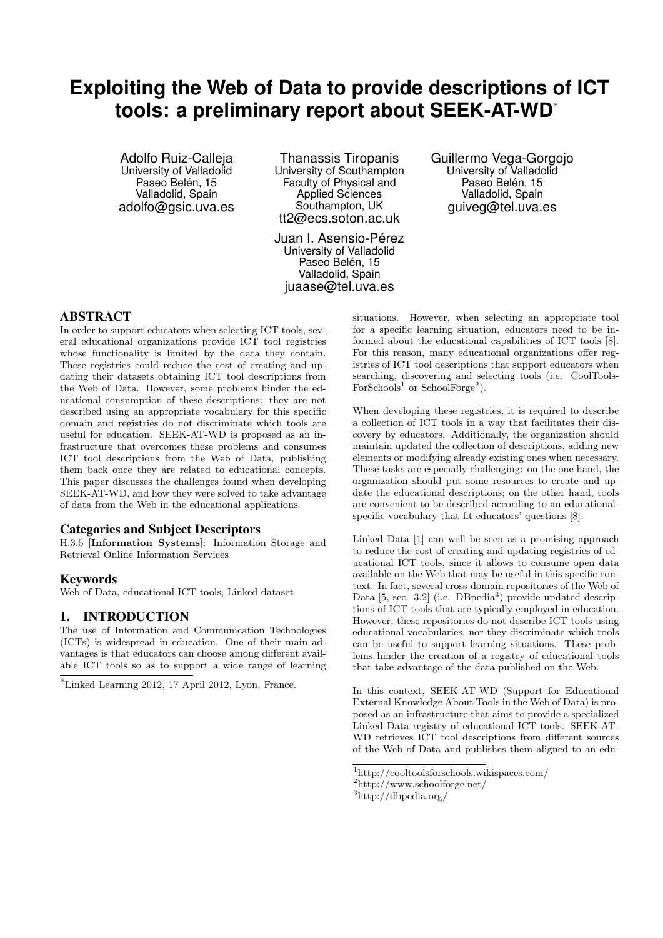# **Exploiting the Web of Data to provide descriptions of ICT tools: a preliminary report about SEEK-AT-WD**<sup>∗</sup>

Adolfo Ruiz-Calleja University of Valladolid Paseo Belén, 15 Valladolid, Spain adolfo@gsic.uva.es

Thanassis Tiropanis University of Southampton Faculty of Physical and Applied Sciences Southampton, UK tt2@ecs.soton.ac.uk

Juan I. Asensio-Pérez University of Valladolid Paseo Belén, 15 Valladolid, Spain juaase@tel.uva.es

Guillermo Vega-Gorgojo University of Valladolid Paseo Belén, 15 Valladolid, Spain guiveg@tel.uva.es

### ABSTRACT

In order to support educators when selecting ICT tools, several educational organizations provide ICT tool registries whose functionality is limited by the data they contain. These registries could reduce the cost of creating and updating their datasets obtaining ICT tool descriptions from the Web of Data. However, some problems hinder the educational consumption of these descriptions: they are not described using an appropriate vocabulary for this specific domain and registries do not discriminate which tools are useful for education. SEEK-AT-WD is proposed as an infrastructure that overcomes these problems and consumes ICT tool descriptions from the Web of Data, publishing them back once they are related to educational concepts. This paper discusses the challenges found when developing SEEK-AT-WD, and how they were solved to take advantage of data from the Web in the educational applications.

### Categories and Subject Descriptors

H.3.5 [Information Systems]: Information Storage and Retrieval Online Information Services

### Keywords

Web of Data, educational ICT tools, Linked dataset

### 1. INTRODUCTION

The use of Information and Communication Technologies (ICTs) is widespread in education. One of their main advantages is that educators can choose among different available ICT tools so as to support a wide range of learning

<sup>∗</sup>Linked Learning 2012, 17 April 2012, Lyon, France.

situations. However, when selecting an appropriate tool for a specific learning situation, educators need to be informed about the educational capabilities of ICT tools [8]. For this reason, many educational organizations offer registries of ICT tool descriptions that support educators when searching, discovering and selecting tools (i.e. CoolTools- $For Schools<sup>1</sup>$  or SchoolForge<sup>2</sup>).

When developing these registries, it is required to describe a collection of ICT tools in a way that facilitates their discovery by educators. Additionally, the organization should maintain updated the collection of descriptions, adding new elements or modifying already existing ones when necessary. These tasks are especially challenging: on the one hand, the organization should put some resources to create and update the educational descriptions; on the other hand, tools are convenient to be described according to an educationalspecific vocabulary that fit educators' questions [8].

Linked Data [1] can well be seen as a promising approach to reduce the cost of creating and updating registries of educational ICT tools, since it allows to consume open data available on the Web that may be useful in this specific context. In fact, several cross-domain repositories of the Web of Data [5, sec. 3.2] (i.e. DBpedia<sup>3</sup>) provide updated descriptions of ICT tools that are typically employed in education. However, these repositories do not describe ICT tools using educational vocabularies, nor they discriminate which tools can be useful to support learning situations. These problems hinder the creation of a registry of educational tools that take advantage of the data published on the Web.

In this context, SEEK-AT-WD (Support for Educational External Knowledge About Tools in the Web of Data) is proposed as an infrastructure that aims to provide a specialized Linked Data registry of educational ICT tools. SEEK-AT-WD retrieves ICT tool descriptions from different sources of the Web of Data and publishes them aligned to an edu-

<sup>1</sup>http://cooltoolsforschools.wikispaces.com/

<sup>2</sup>http://www.schoolforge.net/

<sup>3</sup>http://dbpedia.org/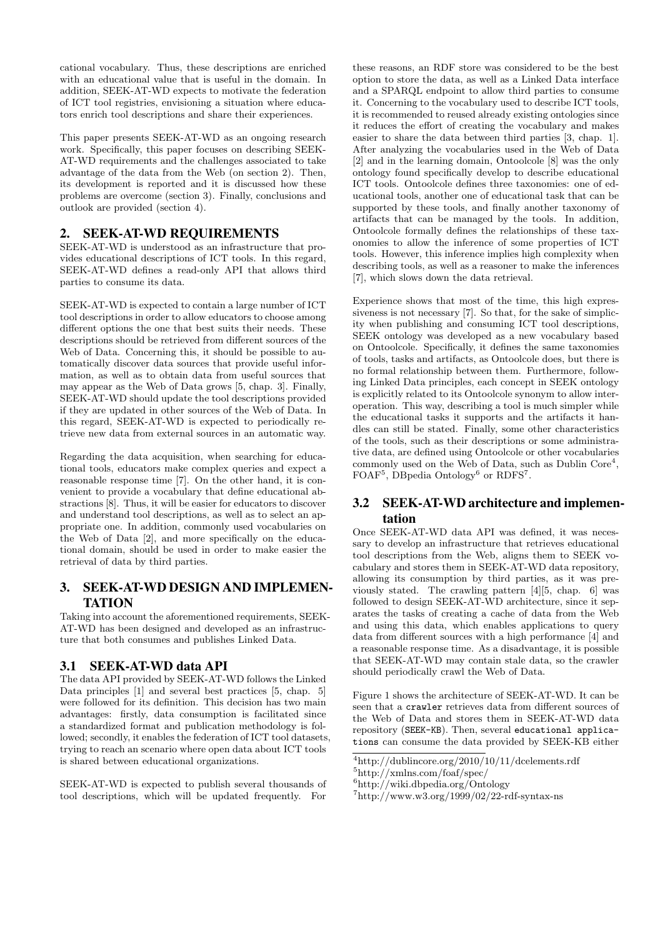cational vocabulary. Thus, these descriptions are enriched with an educational value that is useful in the domain. In addition, SEEK-AT-WD expects to motivate the federation of ICT tool registries, envisioning a situation where educators enrich tool descriptions and share their experiences.

This paper presents SEEK-AT-WD as an ongoing research work. Specifically, this paper focuses on describing SEEK-AT-WD requirements and the challenges associated to take advantage of the data from the Web (on section 2). Then, its development is reported and it is discussed how these problems are overcome (section 3). Finally, conclusions and outlook are provided (section 4).

# 2. SEEK-AT-WD REQUIREMENTS

SEEK-AT-WD is understood as an infrastructure that provides educational descriptions of ICT tools. In this regard, SEEK-AT-WD defines a read-only API that allows third parties to consume its data.

SEEK-AT-WD is expected to contain a large number of ICT tool descriptions in order to allow educators to choose among different options the one that best suits their needs. These descriptions should be retrieved from different sources of the Web of Data. Concerning this, it should be possible to automatically discover data sources that provide useful information, as well as to obtain data from useful sources that may appear as the Web of Data grows [5, chap. 3]. Finally, SEEK-AT-WD should update the tool descriptions provided if they are updated in other sources of the Web of Data. In this regard, SEEK-AT-WD is expected to periodically retrieve new data from external sources in an automatic way.

Regarding the data acquisition, when searching for educational tools, educators make complex queries and expect a reasonable response time [7]. On the other hand, it is convenient to provide a vocabulary that define educational abstractions [8]. Thus, it will be easier for educators to discover and understand tool descriptions, as well as to select an appropriate one. In addition, commonly used vocabularies on the Web of Data [2], and more specifically on the educational domain, should be used in order to make easier the retrieval of data by third parties.

# 3. SEEK-AT-WD DESIGN AND IMPLEMEN-TATION

Taking into account the aforementioned requirements, SEEK-AT-WD has been designed and developed as an infrastructure that both consumes and publishes Linked Data.

# 3.1 SEEK-AT-WD data API

The data API provided by SEEK-AT-WD follows the Linked Data principles [1] and several best practices [5, chap. 5] were followed for its definition. This decision has two main advantages: firstly, data consumption is facilitated since a standardized format and publication methodology is followed; secondly, it enables the federation of ICT tool datasets, trying to reach an scenario where open data about ICT tools is shared between educational organizations.

SEEK-AT-WD is expected to publish several thousands of tool descriptions, which will be updated frequently. For

these reasons, an RDF store was considered to be the best option to store the data, as well as a Linked Data interface and a SPARQL endpoint to allow third parties to consume it. Concerning to the vocabulary used to describe ICT tools, it is recommended to reused already existing ontologies since it reduces the effort of creating the vocabulary and makes easier to share the data between third parties [3, chap. 1]. After analyzing the vocabularies used in the Web of Data [2] and in the learning domain, Ontoolcole [8] was the only ontology found specifically develop to describe educational ICT tools. Ontoolcole defines three taxonomies: one of educational tools, another one of educational task that can be supported by these tools, and finally another taxonomy of artifacts that can be managed by the tools. In addition, Ontoolcole formally defines the relationships of these taxonomies to allow the inference of some properties of ICT tools. However, this inference implies high complexity when describing tools, as well as a reasoner to make the inferences [7], which slows down the data retrieval.

Experience shows that most of the time, this high expressiveness is not necessary [7]. So that, for the sake of simplicity when publishing and consuming ICT tool descriptions, SEEK ontology was developed as a new vocabulary based on Ontoolcole. Specifically, it defines the same taxonomies of tools, tasks and artifacts, as Ontoolcole does, but there is no formal relationship between them. Furthermore, following Linked Data principles, each concept in SEEK ontology is explicitly related to its Ontoolcole synonym to allow interoperation. This way, describing a tool is much simpler while the educational tasks it supports and the artifacts it handles can still be stated. Finally, some other characteristics of the tools, such as their descriptions or some administrative data, are defined using Ontoolcole or other vocabularies commonly used on the Web of Data, such as Dublin Core<sup>4</sup>, FOAF<sup>5</sup>, DBpedia Ontology<sup>6</sup> or RDFS<sup>7</sup>.

### 3.2 SEEK-AT-WD architecture and implementation

Once SEEK-AT-WD data API was defined, it was necessary to develop an infrastructure that retrieves educational tool descriptions from the Web, aligns them to SEEK vocabulary and stores them in SEEK-AT-WD data repository, allowing its consumption by third parties, as it was previously stated. The crawling pattern [4][5, chap. 6] was followed to design SEEK-AT-WD architecture, since it separates the tasks of creating a cache of data from the Web and using this data, which enables applications to query data from different sources with a high performance [4] and a reasonable response time. As a disadvantage, it is possible that SEEK-AT-WD may contain stale data, so the crawler should periodically crawl the Web of Data.

Figure 1 shows the architecture of SEEK-AT-WD. It can be seen that a crawler retrieves data from different sources of the Web of Data and stores them in SEEK-AT-WD data repository (SEEK-KB). Then, several educational applications can consume the data provided by SEEK-KB either

<sup>4</sup>http://dublincore.org/2010/10/11/dcelements.rdf

<sup>5</sup>http://xmlns.com/foaf/spec/

<sup>6</sup>http://wiki.dbpedia.org/Ontology

 $^{7}$ http://www.w3.org/1999/02/22-rdf-syntax-ns